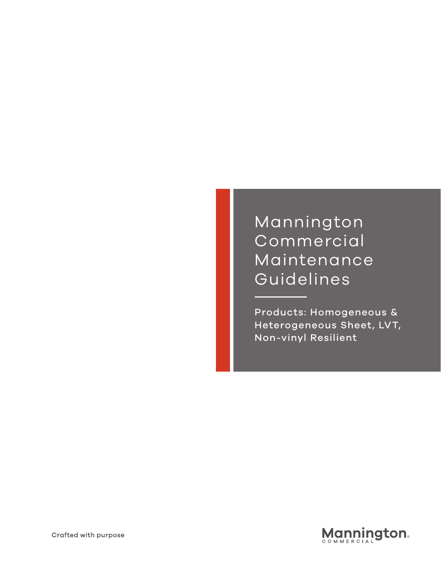## **Mannington** Commercial Maintenance Guidelines

Products: Homogeneous & Heterogeneous Sheet, LVT, Non-vinyl Resilient

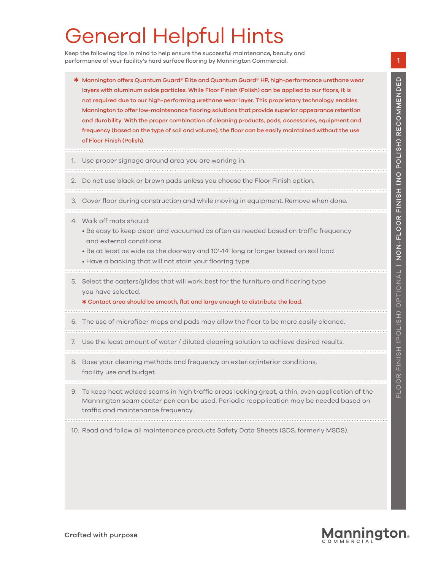# General Helpful Hints

Keep the following tips in mind to help ensure the successful maintenance, beauty and performance of your facility's hard surface flooring by Mannington Commercial.

- ✱ Mannington offers Quantum Guard® Elite and Quantum Guard® HP, high-performance urethane wear layers with aluminum oxide particles. While Floor Finish (Polish) can be applied to our floors, it is not required due to our high-performing urethane wear layer. This proprietary technology enables Mannington to offer low-maintenance flooring solutions that provide superior appearance retention and durability. With the proper combination of cleaning products, pads, accessories, equipment and frequency (based on the type of soil and volume), the floor can be easily maintained without the use of Floor Finish (Polish).
- Use proper signage around area you are working in.
- 2. Do not use black or brown pads unless you choose the Floor Finish option.
- 3. Cover floor during construction and while moving in equipment. Remove when done.
- 4. Walk off mats should:
	- Be easy to keep clean and vacuumed as often as needed based on traffic frequency and external conditions.
	- Be at least as wide as the doorway and 10'-14' long or longer based on soil load.
	- Have a backing that will not stain your flooring type.
- 5. Select the casters/glides that will work best for the furniture and flooring type you have selected.

\* Contact area should be smooth, flat and large enough to distribute the load.

- 6. The use of microfiber mops and pads may allow the floor to be more easily cleaned.
- 7. Use the least amount of water / diluted cleaning solution to achieve desired results.
- 8. Base your cleaning methods and frequency on exterior/interior conditions, facility use and budget.
- 9. To keep heat welded seams in high traffic areas looking great, a thin, even application of the Mannington seam coater pen can be used. Periodic reapplication may be needed based on traffic and maintenance frequency.
- 10. Read and follow all maintenance products Safety Data Sheets (SDS, formerly MSDS).

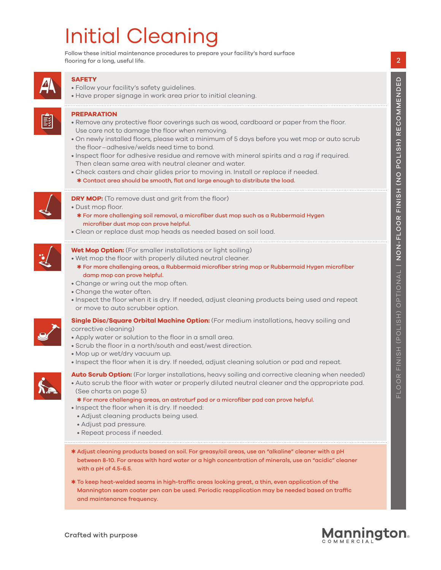# Initial Cleaning

Follow these initial maintenance procedures to prepare your facility's hard surface flooring for a long, useful life.



### **SAFETY**

- Follow your facility's safety guidelines.
- Have proper signage in work area prior to initial cleaning.

#### **PREPARATION**

- Remove any protective floor coverings such as wood, cardboard or paper from the floor. Use care not to damage the floor when removing.
- On newly installed floors, please wait a minimum of 5 days before you wet mop or auto scrub the floor-adhesive/welds need time to bond.
- Inspect floor for adhesive residue and remove with mineral spirits and a rag if required. Then clean same area with neutral cleaner and water.
- Check casters and chair glides prior to moving in. Install or replace if needed.
- \* Contact area should be smooth, flat and large enough to distribute the load.



- **DRY MOP:** (To remove dust and grit from the floor)
- Dust mop floor.
- ✱ For more challenging soil removal, a microfi ber dust mop such as a Rubbermaid Hygen microfiber dust mop can prove helpful.
- Clean or replace dust mop heads as needed based on soil load.



#### **Wet Mop Option:** (For smaller installations or light soiling) • Wet mop the floor with properly diluted neutral cleaner.

- ✱ For more challenging areas, a Rubbermaid microfi ber string mop or Rubbermaid Hygen microfi ber damp mop can prove helpful.
- Change or wring out the mop often.
- Change the water often.
- Inspect the floor when it is dry. If needed, adjust cleaning products being used and repeat or move to auto scrubber option.



- **Single Disc/Square Orbital Machine Option:** (For medium installations, heavy soiling and corrective cleaning)
- Apply water or solution to the floor in a small area.
- Scrub the floor in a north/south and east/west direction.
- Mop up or wet/dry vacuum up.
- Inspect the floor when it is dry. If needed, adjust cleaning solution or pad and repeat.



- 
- Auto scrub the floor with water or properly diluted neutral cleaner and the appropriate pad. (See charts on page 5)
	- ✱ For more challenging areas, an astroturf pad or a microfi ber pad can prove helpful.
- Inspect the floor when it is dry. If needed:
	- Adjust cleaning products being used.
	- Adjust pad pressure.
	- Repeat process if needed.
- ✱ Adjust cleaning products based on soil. For greasy/oil areas, use an "alkaline" cleaner with a pH between 8-10. For areas with hard water or a high concentration of minerals, use an "acidic" cleaner with a pH of 4.5-6.5.
- \* To keep heat-welded seams in high-traffic areas looking great, a thin, even application of the Mannington seam coater pen can be used. Periodic reapplication may be needed based on traffic and maintenance frequency.

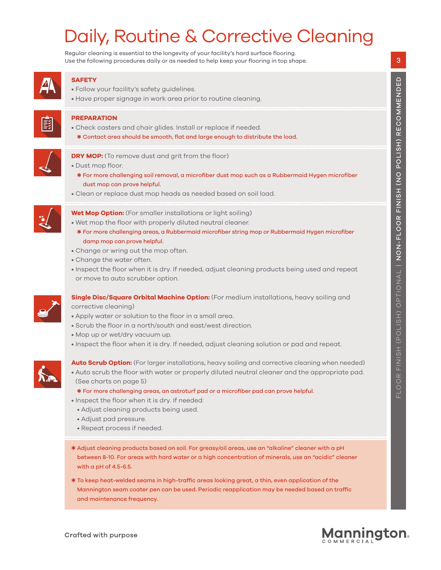# Daily, Routine & Corrective Cleaning

Regular cleaning is essential to the longevity of your facility's hard surface flooring. Use the following procedures daily or as needed to help keep your flooring in top shape.



### **SAFETY**

- Follow your facility's safety guidelines.
- Have proper signage in work area prior to routine cleaning.

# Ēž

### **PREPARATION**

• Dust mop floor.

- Check casters and chair glides. Install or replace if needed.
- \* Contact area should be smooth, flat and large enough to distribute the load.



### **DRY MOP:** (To remove dust and grit from the floor)

- \* For more challenging soil removal, a microfiber dust mop such as a Rubbermaid Hygen microfiber dust mop can prove helpful.
- Clean or replace dust mop heads as needed based on soil load.



- **Wet Mop Option:** (For smaller installations or light soiling) • Wet mop the floor with properly diluted neutral cleaner.
	- ✱ For more challenging areas, a Rubbermaid microfi ber string mop or Rubbermaid Hygen microfi ber damp mop can prove helpful.
- Change or wring out the mop often.
- Change the water often.
- Inspect the floor when it is dry. If needed, adjust cleaning products being used and repeat or move to auto scrubber option.



## **Single Disc/Square Orbital Machine Option:** (For medium installations, heavy soiling and

- corrective cleaning)
- Apply water or solution to the floor in a small area.
- Scrub the floor in a north/south and east/west direction.
- Mop up or wet/dry vacuum up.
- Inspect the floor when it is dry. If needed, adjust cleaning solution or pad and repeat.



**Auto Scrub Option:** (For larger installations, heavy soiling and corrective cleaning when needed) • Auto scrub the floor with water or properly diluted neutral cleaner and the appropriate pad. (See charts on page 5)

- ✱ For more challenging areas, an astroturf pad or a microfi ber pad can prove helpful.
- Inspect the floor when it is dry. If needed:
- Adjust cleaning products being used.
- Adjust pad pressure.
- Repeat process if needed.
- ✱ Adjust cleaning products based on soil. For greasy/oil areas, use an "alkaline" cleaner with a pH between 8-10. For areas with hard water or a high concentration of minerals, use an "acidic" cleaner with a pH of 4.5-6.5.
- \* To keep heat-welded seams in high-traffic areas looking great, a thin, even application of the Mannington seam coater pen can be used. Periodic reapplication may be needed based on traffic and maintenance frequency.

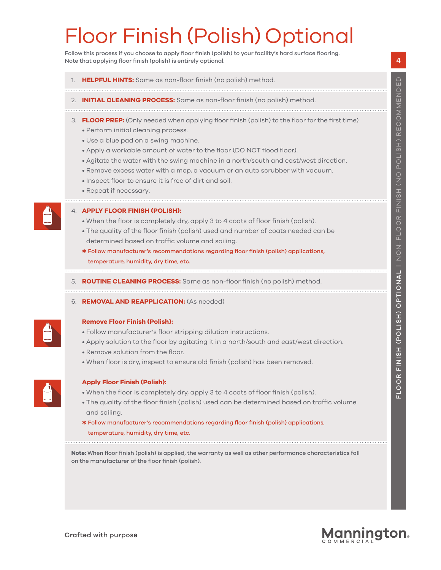# Floor Finish (Polish) Optional

Follow this process if you choose to apply floor finish (polish) to your facility's hard surface flooring. Note that applying floor finish (polish) is entirely optional.

- **HELPFUL HINTS:** Same as non-floor finish (no polish) method.
- **INITIAL CLEANING PROCESS:** Same as non-floor finish (no polish) method.
- 3. **FLOOR PREP:** (Only needed when applying floor finish (polish) to the floor for the first time)
	- Perform initial cleaning process.
	- Use a blue pad on a swing machine.
	- Apply a workable amount of water to the floor (DO NOT flood floor).
	- Agitate the water with the swing machine in a north/south and east/west direction.
	- Remove excess water with a mop, a vacuum or an auto scrubber with vacuum.
	- Inspect floor to ensure it is free of dirt and soil.
	- Repeat if necessary.



#### 4. **APPLY FLOOR FINISH (POLISH):**

- When the floor is completely dry, apply 3 to 4 coats of floor finish (polish).
- The quality of the floor finish (polish) used and number of coats needed can be determined based on traffic volume and soiling.
- ✱ Follow manufacturer's recommendations regarding fl oor fi nish (polish) applications, temperature, humidity, dry time, etc.
- 5. **ROUTINE CLEANING PROCESS:** Same as non-floor finish (no polish) method.

#### 6. **REMOVAL AND REAPPLICATION:** (As needed)



#### **Remove Floor Finish (Polish):**

- Follow manufacturer's floor stripping dilution instructions.
- Apply solution to the floor by agitating it in a north/south and east/west direction.
- Remove solution from the floor.
- When floor is dry, inspect to ensure old finish (polish) has been removed.



#### **Apply Floor Finish (Polish):**

- When the floor is completely dry, apply 3 to 4 coats of floor finish (polish).
- The quality of the floor finish (polish) used can be determined based on traffic volume and soiling.
- \* Follow manufacturer's recommendations regarding floor finish (polish) applications, temperature, humidity, dry time, etc.

Note: When floor finish (polish) is applied, the warranty as well as other performance characteristics fall on the manufacturer of the floor finish (polish).

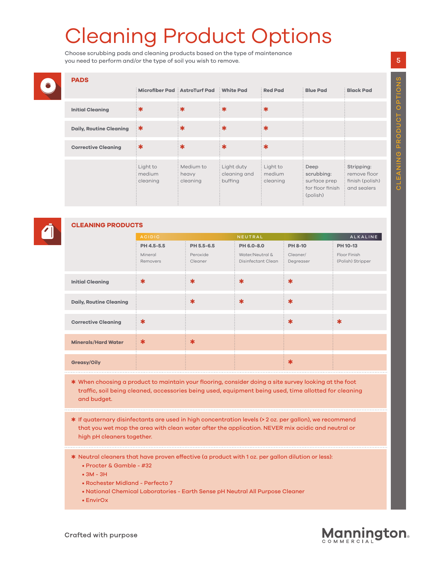# Cleaning Product Options

Choose scrubbing pads and cleaning products based on the type of maintenance you need to perform and/or the type of soil you wish to remove.

|  | <b>PADS</b>                    | Microfiber Pad AstroTurf Pad White Pad           |                                                |                                             | <b>Red Pad</b>                   | <b>Blue Pad</b>                                                          | <b>Black Pad</b>                                             |
|--|--------------------------------|--------------------------------------------------|------------------------------------------------|---------------------------------------------|----------------------------------|--------------------------------------------------------------------------|--------------------------------------------------------------|
|  | <b>Initial Cleaning</b>        |                                                  | ∶ж                                             | ः≭                                          | ∷ ≭                              |                                                                          |                                                              |
|  | <b>Daily, Routine Cleaning</b> | ∷≭                                               | . ж                                            | ∷≭                                          | ∷≭                               |                                                                          |                                                              |
|  | <b>Corrective Cleaning</b>     | ∷≭                                               | ः≭                                             | ∷≭                                          | ∷ ≉                              |                                                                          |                                                              |
|  |                                | : Light to<br>: medium<br>$\frac{1}{2}$ cleaning | : Medium to<br>$\frac{1}{2}$ heavy<br>cleaning | : Light duty<br>: cleaning and<br>: buffing | : Light to<br>medium<br>cleaning | Deep<br>scrubbing:<br>surface prep<br>$:$ for floor finish<br>: (polish) | Stripping:<br>remove floor<br>finish (polish)<br>and sealers |



### **CLEANING PRODUCTS**

|                                | <b>ACIDIC</b>       |                     | <b>NEUTRAL</b>                        |                       | ALKALINE                          |  |
|--------------------------------|---------------------|---------------------|---------------------------------------|-----------------------|-----------------------------------|--|
|                                | PH 4.5-5.5          | PH 5.5-6.5          | PH 6.0-8.0                            | <b>PH 8-10</b>        | PH 10-13                          |  |
|                                | Mineral<br>Removers | Peroxide<br>Cleaner | Water/Neutral &<br>Disinfectant Clean | Cleaner/<br>Degreaser | Floor Finish<br>(Polish) Stripper |  |
| <b>Initial Cleaning</b>        | $\ast$              | $\ast$              | $\ast$                                | $\ast$                |                                   |  |
| <b>Daily, Routine Cleaning</b> |                     | $\ast$              | $\ast$                                | $\ast$                |                                   |  |
| <b>Corrective Cleaning</b>     | $\ast$              |                     |                                       | $\ast$                | $\ast$                            |  |
| <b>Minerals/Hard Water</b>     | $\ast$              | $\ast$              |                                       |                       |                                   |  |
| <b>Greasy/Oily</b>             |                     |                     |                                       | $\ast$                |                                   |  |

- ✱ When choosing a product to maintain your fl ooring, consider doing a site survey looking at the foot traffic, soil being cleaned, accessories being used, equipment being used, time allotted for cleaning and budget.
- ✱ If quaternary disinfectants are used in high concentration levels (> 2 oz. per gallon), we recommend that you wet mop the area with clean water after the application. NEVER mix acidic and neutral or high pH cleaners together.
- ✱ Neutral cleaners that have proven effective (a product with 1 oz. per gallon dilution or less):
	- Procter & Gamble #32
	- 3M 3H
	- Rochester Midland Perfecto 7
	- National Chemical Laboratories Earth Sense pH Neutral All Purpose Cleaner
	- EnvirOx

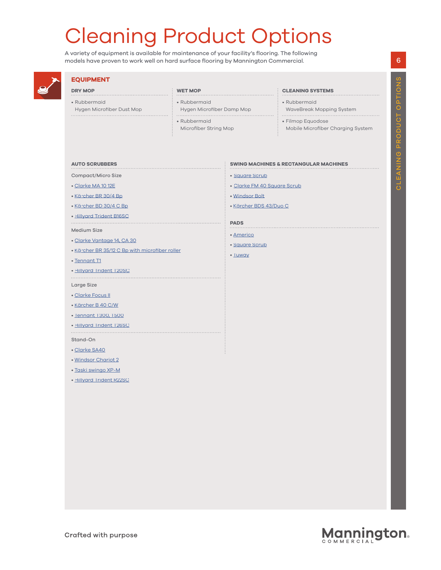# Cleaning Product Options

A variety of equipment is available for maintenance of your facility's flooring. The following models have proven to work well on hard surface flooring by Mannington Commercial.



### **EQUIPMENT**

Hygen Microfiber Dust Mop

**DRY MOP** • Rubbermaid

 $\cdots$ 

#### **WET MOP**

- Rubbermaid
- Hygen Microfiber Damp Mop
- Rubbermaid
- Microfiber String Mop

#### **CLEANING SYSTEMS**

- Rubbermaid
- WaveBreak Mopping System
- 
- Filmop Equodose
- Mobile Microfiber Charging System

#### **AUTO SCRUBBERS**

- Compact/Micro Size
- [Clarke MA 10 12E](https://www.clarkeus.com/products/autoscrubbers/ma10%2012e.aspx)
- [Kärcher BR 30/4 Bp](https://www.kaercher.com/int/professional/floor-scrubbers-scrubber-dryers/scrubber-driers/walk-behind-scrubber-driers/br-30-4-c-bp-pack-17832250.html)
- [Kärcher BD 30/4 C Bp](https://www.kaercher.com/int/professional/floor-scrubbers-scrubber-dryers/scrubber-driers/walk-behind-scrubber-driers/bd-30-4-c-bp-pack-17832300.html)
- [Hillyard Trident B16SC](https://b2b.hillyard.com/productdetail/index/grid/wwm/PL~12404,PD~HIL56002)

#### Medium Size

- [Clarke Vantage 14, CA 30](https://www.clarkeus.com/products/autoscrubbers/vantage14.aspx)
- Kärcher BR 35/12 C Bp with microfiber roller

- [Tennant T1](https://www.tennantco.com/en_us/1/machines/scrubbers/product.t1.walk-behind-micro-scrubber.9004191.html)
- [Hillyard Trident T20SC](https://b2b.hillyard.com/productdetail/index/grid/wwm/PL~12404,PD~HIL56006)

- Large Size
- [Clarke Focus II](https://www.clarkeus.com/products/autoscrubbers/focuscompact.aspx)
- [Kärcher B 40 C/W](https://www.kaercher.com/us/professional/floor-scrubbers/walk-behind-floor-scrubbers/b-40-c-w-roller-1533210213.html)
- [Tennant T300, T500](https://www.tennantco.com/en_us/1/machines/scrubbers/product.t300---t300e.high-performance-walk-behind-scrubbers.M-T300.html)
- [Hillyard Trident T26SC](https://b2b.hillyard.com/productdetail/index/grid/wwm/PL~12404,PD~HIL56007)
- Stand-On
- [Clarke SA40](https://www.clarkeus.com/products/autoscrubbers/sa40.aspx)
- [Windsor Chariot 2](https://www.windsorkarchergroup.com/en/products/scrubbers/stand-on.html?cid=us-SEA-yw8e6Pql_k2obp1UQBqKFw&gclid=EAIaIQobChMI74CvjKvi2wIVBHZeCh0sfAG5EAAYASAAEgL4YvD_BwE)
- [Taski swingo XP-M](http://www.taski.com/solutions/taski-swingo-xpm)
- [Hillyard Trident R22SC](https://b2b.hillyard.com/productdetail/index/grid/wwm/PL~12404,PD~HIL56008)

6

#### **SWING MACHINES & RECTANGULAR MACHINES**

- [Square Scrub](https://www.squarescrub.com/?gclid=EAIaIQobChMI1qb10aji2wIVCjJpCh2p_gACEAAYASAAEgIAwPD_BwE)
- [Clarke FM 40 Square Scrub](https://www.clarkeus.com/products/polishersandburnishers/fm40.aspx)
- 
- 

#### **PADS**

- • [Americo](https://americomfg.com/floor-pads/)
- • [Square Scrub](https://www.squarescrub.com/blue_vs_green.html)
- • [Tuway](https://tuwaymops.com/products)



- -
	- • [Windsor Bolt](https://www.windsorkarchergroup.com/en/products/floor-machines/bolt-20-10090870.html)
	- • [Kärcher BDS 43/Duo C](https://www.kaercher.com/us/professional/floor-machines/bds-43-duo-c-98412360.html)